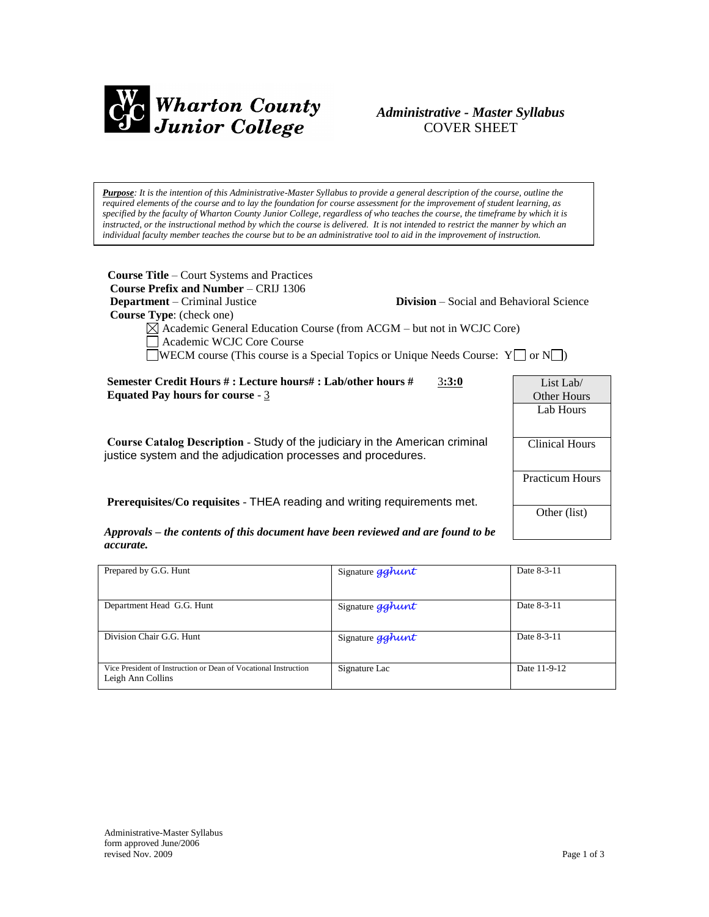

# *Administrative - Master Syllabus*  COVER SHEET

*Purpose: It is the intention of this Administrative-Master Syllabus to provide a general description of the course, outline the required elements of the course and to lay the foundation for course assessment for the improvement of student learning, as specified by the faculty of Wharton County Junior College, regardless of who teaches the course, the timeframe by which it is* instructed, or the instructional method by which the course is delivered. It is not intended to restrict the manner by which an *individual faculty member teaches the course but to be an administrative tool to aid in the improvement of instruction.*

| <b>Course Title</b> – Court Systems and Practices<br><b>Course Prefix and Number – CRIJ 1306</b><br><b>Department</b> – Criminal Justice<br><b>Course Type:</b> (check one)<br>$\boxtimes$ Academic General Education Course (from ACGM – but not in WCJC Core)<br>Academic WCJC Core Course<br>WECM course (This course is a Special Topics or Unique Needs Course: $Y \cup \sigma N \cup$ ) | <b>Division</b> – Social and Behavioral Science |                        |
|-----------------------------------------------------------------------------------------------------------------------------------------------------------------------------------------------------------------------------------------------------------------------------------------------------------------------------------------------------------------------------------------------|-------------------------------------------------|------------------------|
| Semester Credit Hours # : Lecture hours# : Lab/other hours #<br>3:3:0<br>Equated Pay hours for course - $3$                                                                                                                                                                                                                                                                                   |                                                 | List Lab/              |
|                                                                                                                                                                                                                                                                                                                                                                                               |                                                 | Other Hours            |
|                                                                                                                                                                                                                                                                                                                                                                                               |                                                 | Lab Hours              |
|                                                                                                                                                                                                                                                                                                                                                                                               |                                                 |                        |
| Course Catalog Description - Study of the judiciary in the American criminal<br>justice system and the adjudication processes and procedures.                                                                                                                                                                                                                                                 |                                                 | <b>Clinical Hours</b>  |
|                                                                                                                                                                                                                                                                                                                                                                                               |                                                 | <b>Practicum Hours</b> |
| Prerequisites/Co requisites - THEA reading and writing requirements met.                                                                                                                                                                                                                                                                                                                      |                                                 |                        |
|                                                                                                                                                                                                                                                                                                                                                                                               |                                                 | Other (list)           |

*Approvals – the contents of this document have been reviewed and are found to be accurate.*

| Prepared by G.G. Hunt                                                                | Signature gghunt | Date 8-3-11  |
|--------------------------------------------------------------------------------------|------------------|--------------|
| Department Head G.G. Hunt                                                            | Signature gghunt | Date 8-3-11  |
| Division Chair G.G. Hunt                                                             | Signature gghunt | Date 8-3-11  |
| Vice President of Instruction or Dean of Vocational Instruction<br>Leigh Ann Collins | Signature Lac    | Date 11-9-12 |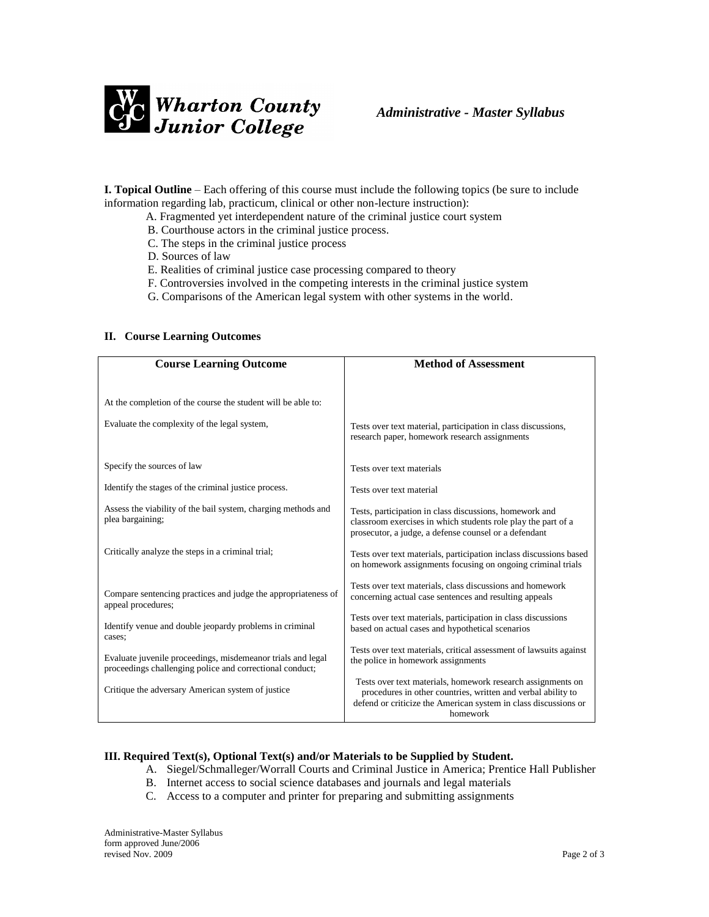

**I. Topical Outline** – Each offering of this course must include the following topics (be sure to include information regarding lab, practicum, clinical or other non-lecture instruction):

- A. Fragmented yet interdependent nature of the criminal justice court system
- B. Courthouse actors in the criminal justice process.
- C. The steps in the criminal justice process
- D. Sources of law
- E. Realities of criminal justice case processing compared to theory
- F. Controversies involved in the competing interests in the criminal justice system
- G. Comparisons of the American legal system with other systems in the world.

#### **II. Course Learning Outcomes**

| <b>Course Learning Outcome</b>                                                                                          | <b>Method of Assessment</b>                                                                                                                                                                                |
|-------------------------------------------------------------------------------------------------------------------------|------------------------------------------------------------------------------------------------------------------------------------------------------------------------------------------------------------|
| At the completion of the course the student will be able to:<br>Evaluate the complexity of the legal system,            | Tests over text material, participation in class discussions,<br>research paper, homework research assignments                                                                                             |
| Specify the sources of law                                                                                              | Tests over text materials                                                                                                                                                                                  |
| Identify the stages of the criminal justice process.                                                                    | Tests over text material                                                                                                                                                                                   |
| Assess the viability of the bail system, charging methods and<br>plea bargaining;                                       | Tests, participation in class discussions, homework and<br>classroom exercises in which students role play the part of a<br>prosecutor, a judge, a defense counsel or a defendant                          |
| Critically analyze the steps in a criminal trial;                                                                       | Tests over text materials, participation inclass discussions based<br>on homework assignments focusing on ongoing criminal trials                                                                          |
| Compare sentencing practices and judge the appropriateness of<br>appeal procedures;                                     | Tests over text materials, class discussions and homework<br>concerning actual case sentences and resulting appeals                                                                                        |
| Identify venue and double jeopardy problems in criminal<br>cases;                                                       | Tests over text materials, participation in class discussions<br>based on actual cases and hypothetical scenarios                                                                                          |
| Evaluate juvenile proceedings, misdemeanor trials and legal<br>proceedings challenging police and correctional conduct; | Tests over text materials, critical assessment of lawsuits against<br>the police in homework assignments                                                                                                   |
| Critique the adversary American system of justice                                                                       | Tests over text materials, homework research assignments on<br>procedures in other countries, written and verbal ability to<br>defend or criticize the American system in class discussions or<br>homework |

# **III. Required Text(s), Optional Text(s) and/or Materials to be Supplied by Student.**

- A. Siegel/Schmalleger/Worrall Courts and Criminal Justice in America; Prentice Hall Publisher
- B. Internet access to social science databases and journals and legal materials
- C. Access to a computer and printer for preparing and submitting assignments

Administrative-Master Syllabus form approved June/2006 revised Nov. 2009 Page 2 of 3